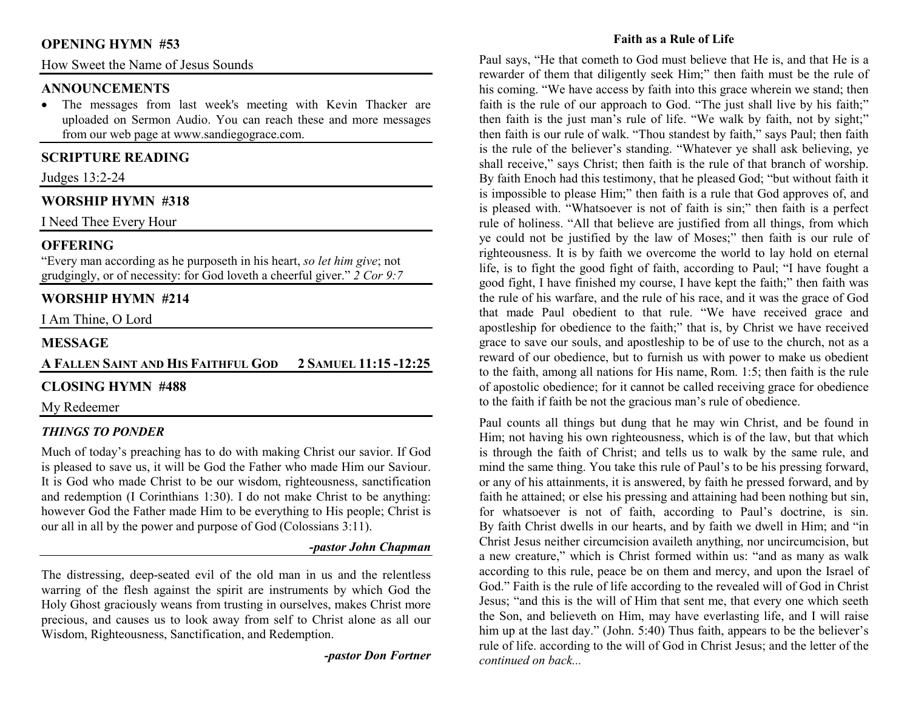### **OPENING HYMN #53**

How Sweet the Name of Jesus Sounds

#### **ANNOUNCEMENTS**

 • The messages from last week's meeting with Kevin Thacker are uploaded on Sermon Audio. You can reach these and more messages from our web page at www.sandiegograce.com.

# **SCRIPTURE READING**

Judges 13:2-24

# **WORSHIP HYMN #318**

I Need Thee Every Hour

# **OFFERING**

 "Every man according as he purposeth in his heart, *so let him give*; not grudgingly, or of necessity: for God loveth a cheerful giver." *2 Cor 9:7*

# **WORSHIP HYMN #214**

I Am Thine, O Lord

### **MESSAGE**

# **AFALLEN SAINT AND HIS FAITHFUL GOD2SAMUEL 11:15 -12:25**

### **CLOSING HYMN #488**

My Redeemer

#### *THINGS TO PONDER*

 Much of today's preaching has to do with making Christ our savior. If God is pleased to save us, it will be God the Father who made Him our Saviour. It is God who made Christ to be our wisdom, righteousness, sanctification and redemption (I Corinthians 1:30). I do not make Christ to be anything: however God the Father made Him to be everything to His people; Christ is our all in all by the power and purpose of God (Colossians 3:11).

#### *-pastor John Chapman*

The distressing, deep-seated evil of the old man in us and the relentless warring of the flesh against the spirit are instruments by which God the Holy Ghost graciously weans from trusting in ourselves, makes Christ more precious, and causes us to look away from self to Christ alone as all our Wisdom, Righteousness, Sanctification, and Redemption.

*-pastor Don Fortner* 

#### **Faith as a Rule of Life**

Paul says, "He that cometh to God must believe that He is, and that He is a rewarder of them that diligently seek Him;" then faith must be the rule of his coming. "We have access by faith into this grace wherein we stand; then faith is the rule of our approach to God. "The just shall live by his faith;" then faith is the just man's rule of life. "We walk by faith, not by sight;" then faith is our rule of walk. "Thou standest by faith," says Paul; then faith is the rule of the believer's standing. "Whatever ye shall ask believing, ye shall receive," says Christ; then faith is the rule of that branch of worship. By faith Enoch had this testimony, that he pleased God; "but without faith it is impossible to please Him;" then faith is a rule that God approves of, and is pleased with. "Whatsoever is not of faith is sin;" then faith is a perfect rule of holiness. "All that believe are justified from all things, from which ye could not be justified by the law of Moses;" then faith is our rule of righteousness. It is by faith we overcome the world to lay hold on eternal life, is to fight the good fight of faith, according to Paul; "I have fought a good fight, I have finished my course, I have kept the faith;" then faith was the rule of his warfare, and the rule of his race, and it was the grace of God that made Paul obedient to that rule. "We have received grace and apostleship for obedience to the faith;" that is, by Christ we have received grace to save our souls, and apostleship to be of use to the church, not as a reward of our obedience, but to furnish us with power to make us obedient to the faith, among all nations for His name, Rom. 1:5; then faith is the rule of apostolic obedience; for it cannot be called receiving grace for obedience to the faith if faith be not the gracious man's rule of obedience.

Paul counts all things but dung that he may win Christ, and be found in Him; not having his own righteousness, which is of the law, but that which is through the faith of Christ; and tells us to walk by the same rule, and mind the same thing. You take this rule of Paul's to be his pressing forward, or any of his attainments, it is answered, by faith he pressed forward, and by faith he attained; or else his pressing and attaining had been nothing but sin, for whatsoever is not of faith, according to Paul's doctrine, is sin. By faith Christ dwells in our hearts, and by faith we dwell in Him; and "in Christ Jesus neither circumcision availeth anything, nor uncircumcision, but a new creature," which is Christ formed within us: "and as many as walk according to this rule, peace be on them and mercy, and upon the Israel of God." Faith is the rule of life according to the revealed will of God in Christ Jesus; "and this is the will of Him that sent me, that every one which seeth the Son, and believeth on Him, may have everlasting life, and I will raise him up at the last day." (John. 5:40) Thus faith, appears to be the believer's rule of life. according to the will of God in Christ Jesus; and the letter of the *continued on back...*